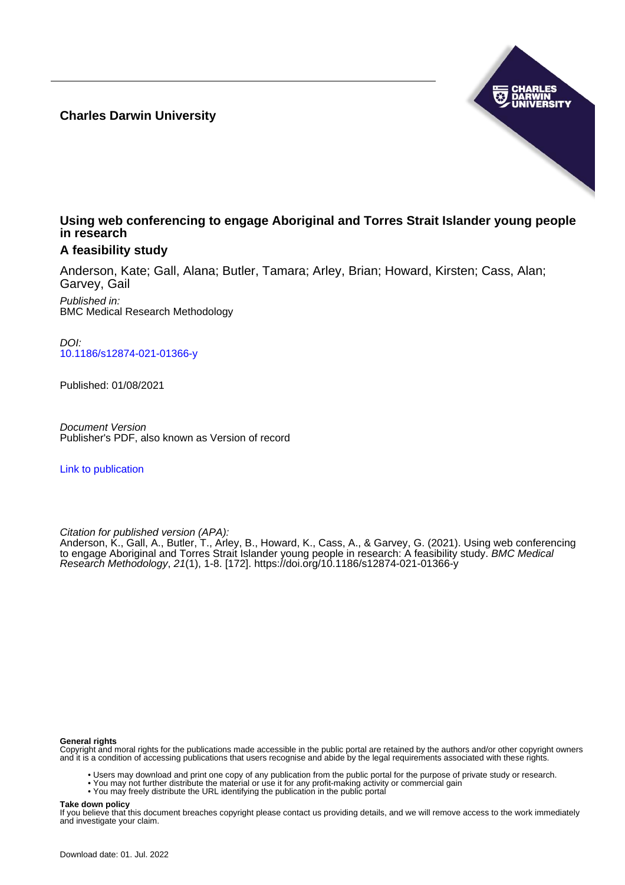**Charles Darwin University**



# **Using web conferencing to engage Aboriginal and Torres Strait Islander young people in research**

# **A feasibility study**

Anderson, Kate; Gall, Alana; Butler, Tamara; Arley, Brian; Howard, Kirsten; Cass, Alan; Garvey, Gail

Published in: BMC Medical Research Methodology

DOI: [10.1186/s12874-021-01366-y](https://doi.org/10.1186/s12874-021-01366-y)

Published: 01/08/2021

Document Version Publisher's PDF, also known as Version of record

[Link to publication](https://researchers.cdu.edu.au/en/publications/6cd42799-6b77-4fd6-b7aa-893d89ea0c30)

Citation for published version (APA):

Anderson, K., Gall, A., Butler, T., Arley, B., Howard, K., Cass, A., & Garvey, G. (2021). Using web conferencing to engage Aboriginal and Torres Strait Islander young people in research: A feasibility study. *BMC Medical* Research Methodology, 21(1), 1-8. [172].<https://doi.org/10.1186/s12874-021-01366-y>

#### **General rights**

Copyright and moral rights for the publications made accessible in the public portal are retained by the authors and/or other copyright owners and it is a condition of accessing publications that users recognise and abide by the legal requirements associated with these rights.

- Users may download and print one copy of any publication from the public portal for the purpose of private study or research.
- You may not further distribute the material or use it for any profit-making activity or commercial gain
- You may freely distribute the URL identifying the publication in the public portal

#### **Take down policy**

If you believe that this document breaches copyright please contact us providing details, and we will remove access to the work immediately and investigate your claim.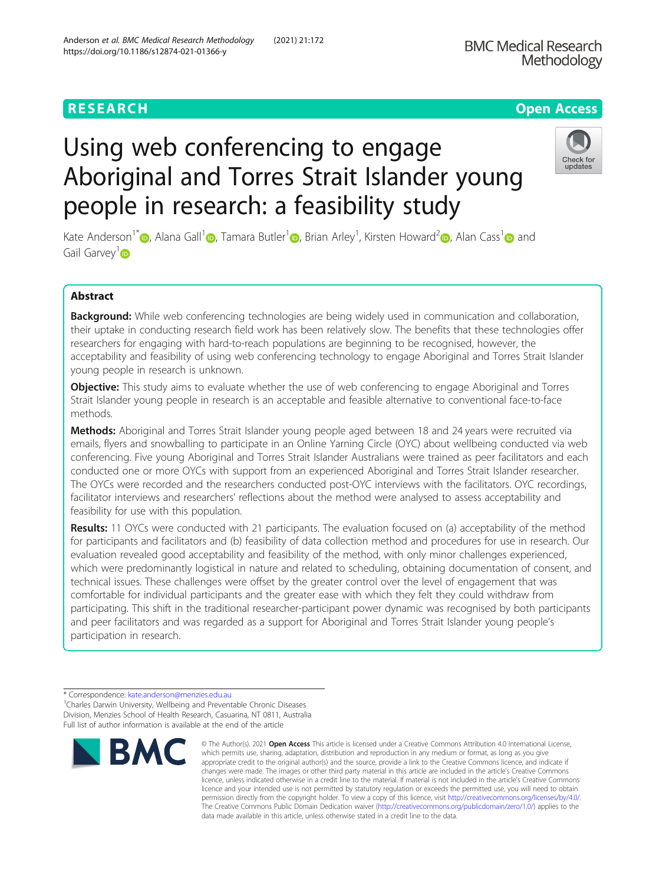# **RESEARCH CHEAR CHEAR CHEAR CHEAR CHEAR CHEAP CONTROL** Using web conferencing to engage Aboriginal and Torres Strait Islander young

people in research: a feasibility study

Kate Anderson<sup>[1](https://orcid.org/0000-0002-3923-3173)\*</sup> (**b**[,](https://orcid.org/0000-0002-0918-7540) Alana Gall<sup>1</sup> (**b**, Tamara Butler<sup>1</sup> (**b**, Brian Arley<sup>1</sup>, Kirsten Howard<sup>2</sup> (b, Alan Cass<sup>1</sup> (b) and Gail Garvey<sup>[1](https://orcid.org/0000-0001-5065-5716)</sup><sub>D</sub>

# Abstract

Background: While web conferencing technologies are being widely used in communication and collaboration, their uptake in conducting research field work has been relatively slow. The benefits that these technologies offer researchers for engaging with hard-to-reach populations are beginning to be recognised, however, the acceptability and feasibility of using web conferencing technology to engage Aboriginal and Torres Strait Islander young people in research is unknown.

**Objective:** This study aims to evaluate whether the use of web conferencing to engage Aboriginal and Torres Strait Islander young people in research is an acceptable and feasible alternative to conventional face-to-face methods.

Methods: Aboriginal and Torres Strait Islander young people aged between 18 and 24 years were recruited via emails, flyers and snowballing to participate in an Online Yarning Circle (OYC) about wellbeing conducted via web conferencing. Five young Aboriginal and Torres Strait Islander Australians were trained as peer facilitators and each conducted one or more OYCs with support from an experienced Aboriginal and Torres Strait Islander researcher. The OYCs were recorded and the researchers conducted post-OYC interviews with the facilitators. OYC recordings, facilitator interviews and researchers' reflections about the method were analysed to assess acceptability and feasibility for use with this population.

Results: 11 OYCs were conducted with 21 participants. The evaluation focused on (a) acceptability of the method for participants and facilitators and (b) feasibility of data collection method and procedures for use in research. Our evaluation revealed good acceptability and feasibility of the method, with only minor challenges experienced, which were predominantly logistical in nature and related to scheduling, obtaining documentation of consent, and technical issues. These challenges were offset by the greater control over the level of engagement that was comfortable for individual participants and the greater ease with which they felt they could withdraw from participating. This shift in the traditional researcher-participant power dynamic was recognised by both participants and peer facilitators and was regarded as a support for Aboriginal and Torres Strait Islander young people's participation in research.







which permits use, sharing, adaptation, distribution and reproduction in any medium or format, as long as you give appropriate credit to the original author(s) and the source, provide a link to the Creative Commons licence, and indicate if changes were made. The images or other third party material in this article are included in the article's Creative Commons licence, unless indicated otherwise in a credit line to the material. If material is not included in the article's Creative Commons licence and your intended use is not permitted by statutory regulation or exceeds the permitted use, you will need to obtain permission directly from the copyright holder. To view a copy of this licence, visit [http://creativecommons.org/licenses/by/4.0/.](http://creativecommons.org/licenses/by/4.0/) The Creative Commons Public Domain Dedication waiver [\(http://creativecommons.org/publicdomain/zero/1.0/](http://creativecommons.org/publicdomain/zero/1.0/)) applies to the data made available in this article, unless otherwise stated in a credit line to the data.

<sup>\*</sup> Correspondence: [kate.anderson@menzies.edu.au](mailto:kate.anderson@menzies.edu.au) <sup>1</sup>

<sup>&</sup>lt;sup>1</sup> Charles Darwin University, Wellbeing and Preventable Chronic Diseases Division, Menzies School of Health Research, Casuarina, NT 0811, Australia Full list of author information is available at the end of the article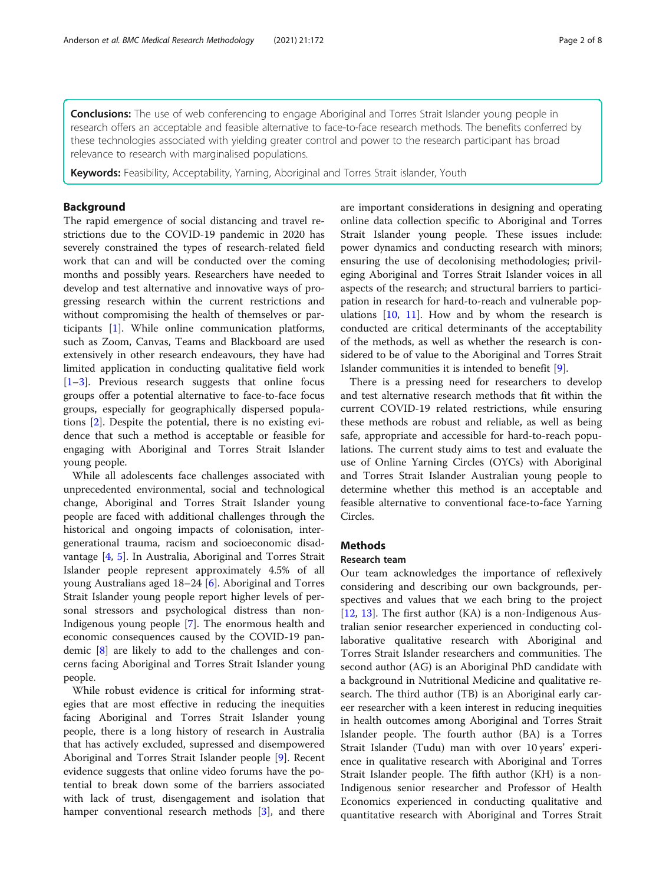**Conclusions:** The use of web conferencing to engage Aboriginal and Torres Strait Islander young people in research offers an acceptable and feasible alternative to face-to-face research methods. The benefits conferred by these technologies associated with yielding greater control and power to the research participant has broad relevance to research with marginalised populations.

**Keywords:** Feasibility, Acceptability, Yarning, Aboriginal and Torres Strait islander, Youth

# Background

The rapid emergence of social distancing and travel restrictions due to the COVID-19 pandemic in 2020 has severely constrained the types of research-related field work that can and will be conducted over the coming months and possibly years. Researchers have needed to develop and test alternative and innovative ways of progressing research within the current restrictions and without compromising the health of themselves or participants [[1\]](#page-8-0). While online communication platforms, such as Zoom, Canvas, Teams and Blackboard are used extensively in other research endeavours, they have had limited application in conducting qualitative field work [[1](#page-8-0)–[3\]](#page-8-0). Previous research suggests that online focus groups offer a potential alternative to face-to-face focus groups, especially for geographically dispersed populations [[2\]](#page-8-0). Despite the potential, there is no existing evidence that such a method is acceptable or feasible for engaging with Aboriginal and Torres Strait Islander young people.

While all adolescents face challenges associated with unprecedented environmental, social and technological change, Aboriginal and Torres Strait Islander young people are faced with additional challenges through the historical and ongoing impacts of colonisation, intergenerational trauma, racism and socioeconomic disadvantage [\[4](#page-8-0), [5\]](#page-8-0). In Australia, Aboriginal and Torres Strait Islander people represent approximately 4.5% of all young Australians aged 18–24 [[6](#page-8-0)]. Aboriginal and Torres Strait Islander young people report higher levels of personal stressors and psychological distress than non-Indigenous young people [\[7\]](#page-8-0). The enormous health and economic consequences caused by the COVID-19 pandemic [\[8\]](#page-8-0) are likely to add to the challenges and concerns facing Aboriginal and Torres Strait Islander young people.

While robust evidence is critical for informing strategies that are most effective in reducing the inequities facing Aboriginal and Torres Strait Islander young people, there is a long history of research in Australia that has actively excluded, supressed and disempowered Aboriginal and Torres Strait Islander people [[9\]](#page-8-0). Recent evidence suggests that online video forums have the potential to break down some of the barriers associated with lack of trust, disengagement and isolation that hamper conventional research methods [[3\]](#page-8-0), and there are important considerations in designing and operating online data collection specific to Aboriginal and Torres Strait Islander young people. These issues include: power dynamics and conducting research with minors; ensuring the use of decolonising methodologies; privileging Aboriginal and Torres Strait Islander voices in all aspects of the research; and structural barriers to participation in research for hard-to-reach and vulnerable populations  $[10, 11]$  $[10, 11]$  $[10, 11]$  $[10, 11]$ . How and by whom the research is conducted are critical determinants of the acceptability of the methods, as well as whether the research is considered to be of value to the Aboriginal and Torres Strait Islander communities it is intended to benefit [\[9](#page-8-0)].

There is a pressing need for researchers to develop and test alternative research methods that fit within the current COVID-19 related restrictions, while ensuring these methods are robust and reliable, as well as being safe, appropriate and accessible for hard-to-reach populations. The current study aims to test and evaluate the use of Online Yarning Circles (OYCs) with Aboriginal and Torres Strait Islander Australian young people to determine whether this method is an acceptable and feasible alternative to conventional face-to-face Yarning Circles.

# **Methods**

# Research team

Our team acknowledges the importance of reflexively considering and describing our own backgrounds, perspectives and values that we each bring to the project  $[12, 13]$  $[12, 13]$  $[12, 13]$  $[12, 13]$ . The first author  $(KA)$  is a non-Indigenous Australian senior researcher experienced in conducting collaborative qualitative research with Aboriginal and Torres Strait Islander researchers and communities. The second author (AG) is an Aboriginal PhD candidate with a background in Nutritional Medicine and qualitative research. The third author (TB) is an Aboriginal early career researcher with a keen interest in reducing inequities in health outcomes among Aboriginal and Torres Strait Islander people. The fourth author (BA) is a Torres Strait Islander (Tudu) man with over 10 years' experience in qualitative research with Aboriginal and Torres Strait Islander people. The fifth author (KH) is a non-Indigenous senior researcher and Professor of Health Economics experienced in conducting qualitative and quantitative research with Aboriginal and Torres Strait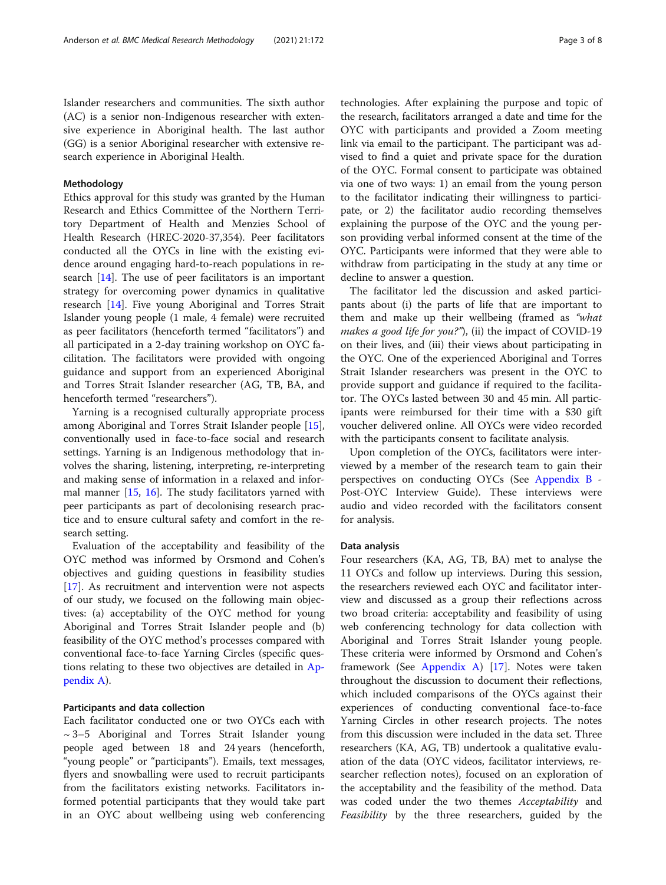Islander researchers and communities. The sixth author (AC) is a senior non-Indigenous researcher with extensive experience in Aboriginal health. The last author (GG) is a senior Aboriginal researcher with extensive research experience in Aboriginal Health.

# Methodology

Ethics approval for this study was granted by the Human Research and Ethics Committee of the Northern Territory Department of Health and Menzies School of Health Research (HREC-2020-37,354). Peer facilitators conducted all the OYCs in line with the existing evidence around engaging hard-to-reach populations in research [[14](#page-8-0)]. The use of peer facilitators is an important strategy for overcoming power dynamics in qualitative research [[14](#page-8-0)]. Five young Aboriginal and Torres Strait Islander young people (1 male, 4 female) were recruited as peer facilitators (henceforth termed "facilitators") and all participated in a 2-day training workshop on OYC facilitation. The facilitators were provided with ongoing guidance and support from an experienced Aboriginal and Torres Strait Islander researcher (AG, TB, BA, and henceforth termed "researchers").

Yarning is a recognised culturally appropriate process among Aboriginal and Torres Strait Islander people [\[15](#page-8-0)], conventionally used in face-to-face social and research settings. Yarning is an Indigenous methodology that involves the sharing, listening, interpreting, re-interpreting and making sense of information in a relaxed and informal manner [\[15,](#page-8-0) [16\]](#page-8-0). The study facilitators yarned with peer participants as part of decolonising research practice and to ensure cultural safety and comfort in the research setting.

Evaluation of the acceptability and feasibility of the OYC method was informed by Orsmond and Cohen's objectives and guiding questions in feasibility studies [[17\]](#page-8-0). As recruitment and intervention were not aspects of our study, we focused on the following main objectives: (a) acceptability of the OYC method for young Aboriginal and Torres Strait Islander people and (b) feasibility of the OYC method's processes compared with conventional face-to-face Yarning Circles (specific questions relating to these two objectives are detailed in [Ap](#page-7-0)[pendix A](#page-7-0)).

# Participants and data collection

Each facilitator conducted one or two OYCs each with  $\sim$  3–5 Aboriginal and Torres Strait Islander young people aged between 18 and 24 years (henceforth, "young people" or "participants"). Emails, text messages, flyers and snowballing were used to recruit participants from the facilitators existing networks. Facilitators informed potential participants that they would take part in an OYC about wellbeing using web conferencing technologies. After explaining the purpose and topic of the research, facilitators arranged a date and time for the OYC with participants and provided a Zoom meeting link via email to the participant. The participant was advised to find a quiet and private space for the duration of the OYC. Formal consent to participate was obtained via one of two ways: 1) an email from the young person to the facilitator indicating their willingness to participate, or 2) the facilitator audio recording themselves explaining the purpose of the OYC and the young person providing verbal informed consent at the time of the OYC. Participants were informed that they were able to withdraw from participating in the study at any time or decline to answer a question.

The facilitator led the discussion and asked participants about (i) the parts of life that are important to them and make up their wellbeing (framed as "what makes a good life for you?"), (ii) the impact of COVID-19 on their lives, and (iii) their views about participating in the OYC. One of the experienced Aboriginal and Torres Strait Islander researchers was present in the OYC to provide support and guidance if required to the facilitator. The OYCs lasted between 30 and 45 min. All participants were reimbursed for their time with a \$30 gift voucher delivered online. All OYCs were video recorded with the participants consent to facilitate analysis.

Upon completion of the OYCs, facilitators were interviewed by a member of the research team to gain their perspectives on conducting OYCs (See [Appendix B](#page-7-0) - Post-OYC Interview Guide). These interviews were audio and video recorded with the facilitators consent for analysis.

#### Data analysis

Four researchers (KA, AG, TB, BA) met to analyse the 11 OYCs and follow up interviews. During this session, the researchers reviewed each OYC and facilitator interview and discussed as a group their reflections across two broad criteria: acceptability and feasibility of using web conferencing technology for data collection with Aboriginal and Torres Strait Islander young people. These criteria were informed by Orsmond and Cohen's framework (See [Appendix A](#page-7-0)) [\[17\]](#page-8-0). Notes were taken throughout the discussion to document their reflections, which included comparisons of the OYCs against their experiences of conducting conventional face-to-face Yarning Circles in other research projects. The notes from this discussion were included in the data set. Three researchers (KA, AG, TB) undertook a qualitative evaluation of the data (OYC videos, facilitator interviews, researcher reflection notes), focused on an exploration of the acceptability and the feasibility of the method. Data was coded under the two themes Acceptability and Feasibility by the three researchers, guided by the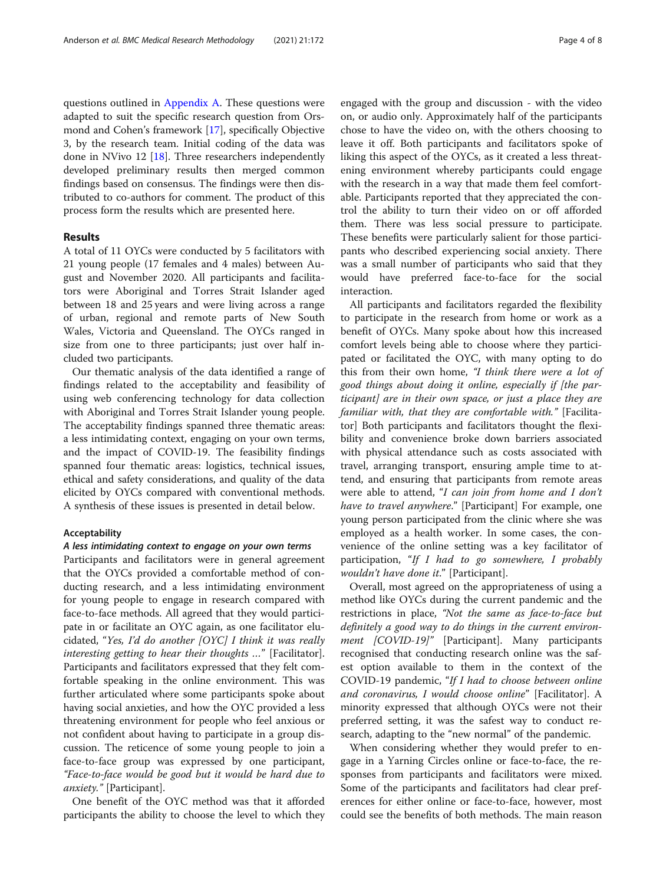questions outlined in [Appendix A](#page-7-0). These questions were adapted to suit the specific research question from Orsmond and Cohen's framework [[17\]](#page-8-0), specifically Objective 3, by the research team. Initial coding of the data was done in NVivo 12 [\[18](#page-8-0)]. Three researchers independently developed preliminary results then merged common findings based on consensus. The findings were then distributed to co-authors for comment. The product of this process form the results which are presented here.

# Results

A total of 11 OYCs were conducted by 5 facilitators with 21 young people (17 females and 4 males) between August and November 2020. All participants and facilitators were Aboriginal and Torres Strait Islander aged between 18 and 25 years and were living across a range of urban, regional and remote parts of New South Wales, Victoria and Queensland. The OYCs ranged in size from one to three participants; just over half included two participants.

Our thematic analysis of the data identified a range of findings related to the acceptability and feasibility of using web conferencing technology for data collection with Aboriginal and Torres Strait Islander young people. The acceptability findings spanned three thematic areas: a less intimidating context, engaging on your own terms, and the impact of COVID-19. The feasibility findings spanned four thematic areas: logistics, technical issues, ethical and safety considerations, and quality of the data elicited by OYCs compared with conventional methods. A synthesis of these issues is presented in detail below.

#### Acceptability

#### A less intimidating context to engage on your own terms

Participants and facilitators were in general agreement that the OYCs provided a comfortable method of conducting research, and a less intimidating environment for young people to engage in research compared with face-to-face methods. All agreed that they would participate in or facilitate an OYC again, as one facilitator elucidated, "Yes, I'd do another [OYC] I think it was really interesting getting to hear their thoughts …" [Facilitator]. Participants and facilitators expressed that they felt comfortable speaking in the online environment. This was further articulated where some participants spoke about having social anxieties, and how the OYC provided a less threatening environment for people who feel anxious or not confident about having to participate in a group discussion. The reticence of some young people to join a face-to-face group was expressed by one participant, "Face-to-face would be good but it would be hard due to anxiety." [Participant].

One benefit of the OYC method was that it afforded participants the ability to choose the level to which they engaged with the group and discussion - with the video on, or audio only. Approximately half of the participants chose to have the video on, with the others choosing to leave it off. Both participants and facilitators spoke of liking this aspect of the OYCs, as it created a less threatening environment whereby participants could engage with the research in a way that made them feel comfortable. Participants reported that they appreciated the control the ability to turn their video on or off afforded them. There was less social pressure to participate. These benefits were particularly salient for those participants who described experiencing social anxiety. There was a small number of participants who said that they would have preferred face-to-face for the social interaction.

All participants and facilitators regarded the flexibility to participate in the research from home or work as a benefit of OYCs. Many spoke about how this increased comfort levels being able to choose where they participated or facilitated the OYC, with many opting to do this from their own home, "I think there were a lot of good things about doing it online, especially if [the participant] are in their own space, or just a place they are familiar with, that they are comfortable with." [Facilitator] Both participants and facilitators thought the flexibility and convenience broke down barriers associated with physical attendance such as costs associated with travel, arranging transport, ensuring ample time to attend, and ensuring that participants from remote areas were able to attend, "I can join from home and I don't have to travel anywhere." [Participant] For example, one young person participated from the clinic where she was employed as a health worker. In some cases, the convenience of the online setting was a key facilitator of participation, "If I had to go somewhere, I probably wouldn't have done it." [Participant].

Overall, most agreed on the appropriateness of using a method like OYCs during the current pandemic and the restrictions in place, "Not the same as face-to-face but definitely a good way to do things in the current environment [COVID-19]" [Participant]. Many participants recognised that conducting research online was the safest option available to them in the context of the COVID-19 pandemic, "If I had to choose between online and coronavirus, I would choose online" [Facilitator]. A minority expressed that although OYCs were not their preferred setting, it was the safest way to conduct research, adapting to the "new normal" of the pandemic.

When considering whether they would prefer to engage in a Yarning Circles online or face-to-face, the responses from participants and facilitators were mixed. Some of the participants and facilitators had clear preferences for either online or face-to-face, however, most could see the benefits of both methods. The main reason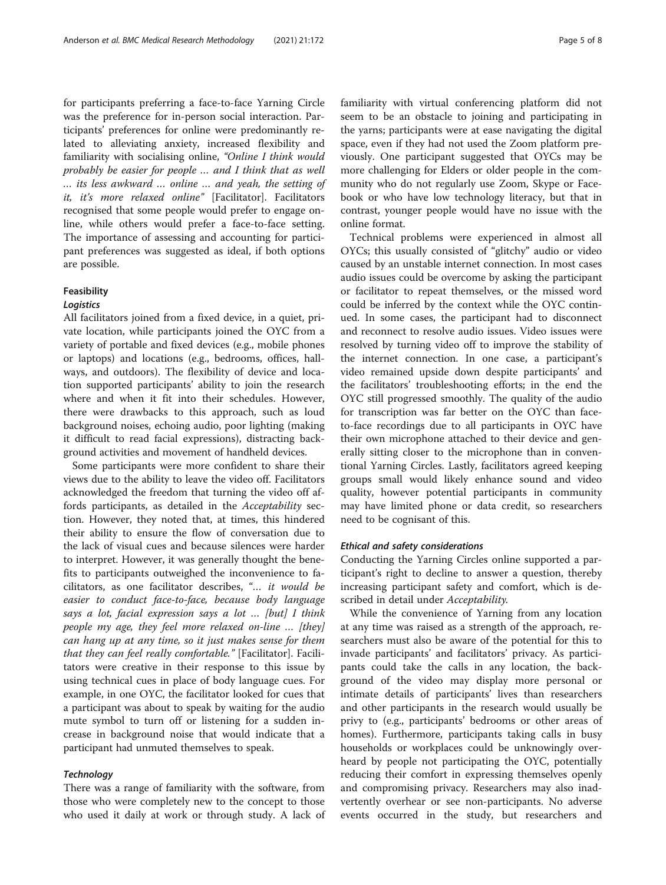for participants preferring a face-to-face Yarning Circle was the preference for in-person social interaction. Participants' preferences for online were predominantly related to alleviating anxiety, increased flexibility and familiarity with socialising online, "Online I think would probably be easier for people … and I think that as well … its less awkward … online … and yeah, the setting of it, it's more relaxed online" [Facilitator]. Facilitators recognised that some people would prefer to engage online, while others would prefer a face-to-face setting. The importance of assessing and accounting for participant preferences was suggested as ideal, if both options are possible.

#### **Feasibility**

#### Logistics

All facilitators joined from a fixed device, in a quiet, private location, while participants joined the OYC from a variety of portable and fixed devices (e.g., mobile phones or laptops) and locations (e.g., bedrooms, offices, hallways, and outdoors). The flexibility of device and location supported participants' ability to join the research where and when it fit into their schedules. However, there were drawbacks to this approach, such as loud background noises, echoing audio, poor lighting (making it difficult to read facial expressions), distracting background activities and movement of handheld devices.

Some participants were more confident to share their views due to the ability to leave the video off. Facilitators acknowledged the freedom that turning the video off affords participants, as detailed in the Acceptability section. However, they noted that, at times, this hindered their ability to ensure the flow of conversation due to the lack of visual cues and because silences were harder to interpret. However, it was generally thought the benefits to participants outweighed the inconvenience to facilitators, as one facilitator describes, "… it would be easier to conduct face-to-face, because body language says a lot, facial expression says a lot … [but] I think people my age, they feel more relaxed on-line … [they] can hang up at any time, so it just makes sense for them that they can feel really comfortable." [Facilitator]. Facilitators were creative in their response to this issue by using technical cues in place of body language cues. For example, in one OYC, the facilitator looked for cues that a participant was about to speak by waiting for the audio mute symbol to turn off or listening for a sudden increase in background noise that would indicate that a participant had unmuted themselves to speak.

# **Technology**

There was a range of familiarity with the software, from those who were completely new to the concept to those who used it daily at work or through study. A lack of familiarity with virtual conferencing platform did not seem to be an obstacle to joining and participating in the yarns; participants were at ease navigating the digital space, even if they had not used the Zoom platform previously. One participant suggested that OYCs may be more challenging for Elders or older people in the community who do not regularly use Zoom, Skype or Facebook or who have low technology literacy, but that in contrast, younger people would have no issue with the online format.

Technical problems were experienced in almost all OYCs; this usually consisted of "glitchy" audio or video caused by an unstable internet connection. In most cases audio issues could be overcome by asking the participant or facilitator to repeat themselves, or the missed word could be inferred by the context while the OYC continued. In some cases, the participant had to disconnect and reconnect to resolve audio issues. Video issues were resolved by turning video off to improve the stability of the internet connection. In one case, a participant's video remained upside down despite participants' and the facilitators' troubleshooting efforts; in the end the OYC still progressed smoothly. The quality of the audio for transcription was far better on the OYC than faceto-face recordings due to all participants in OYC have their own microphone attached to their device and generally sitting closer to the microphone than in conventional Yarning Circles. Lastly, facilitators agreed keeping groups small would likely enhance sound and video quality, however potential participants in community may have limited phone or data credit, so researchers need to be cognisant of this.

# Ethical and safety considerations

Conducting the Yarning Circles online supported a participant's right to decline to answer a question, thereby increasing participant safety and comfort, which is described in detail under Acceptability.

While the convenience of Yarning from any location at any time was raised as a strength of the approach, researchers must also be aware of the potential for this to invade participants' and facilitators' privacy. As participants could take the calls in any location, the background of the video may display more personal or intimate details of participants' lives than researchers and other participants in the research would usually be privy to (e.g., participants' bedrooms or other areas of homes). Furthermore, participants taking calls in busy households or workplaces could be unknowingly overheard by people not participating the OYC, potentially reducing their comfort in expressing themselves openly and compromising privacy. Researchers may also inadvertently overhear or see non-participants. No adverse events occurred in the study, but researchers and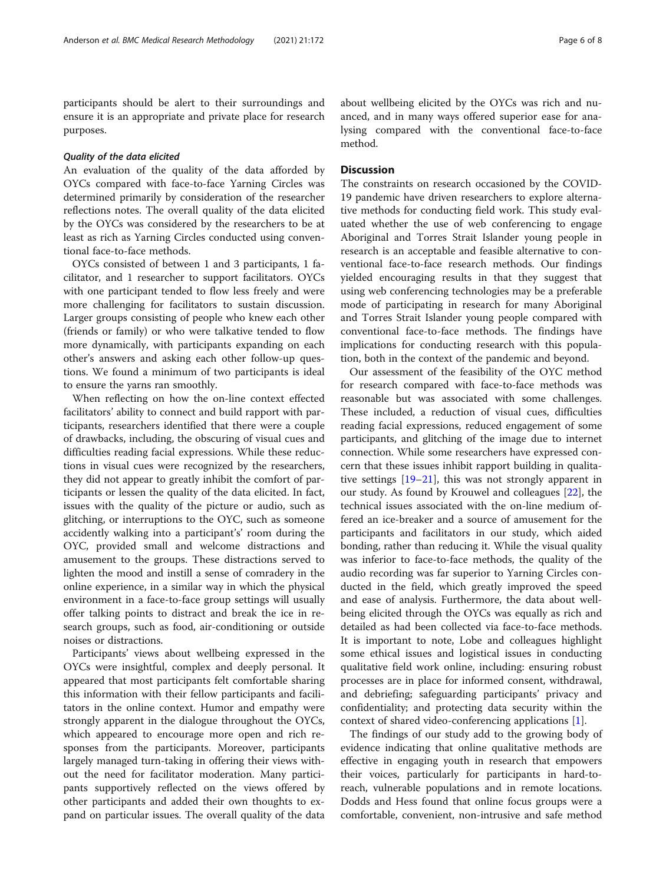participants should be alert to their surroundings and ensure it is an appropriate and private place for research purposes.

# Quality of the data elicited

An evaluation of the quality of the data afforded by OYCs compared with face-to-face Yarning Circles was determined primarily by consideration of the researcher reflections notes. The overall quality of the data elicited by the OYCs was considered by the researchers to be at least as rich as Yarning Circles conducted using conventional face-to-face methods.

OYCs consisted of between 1 and 3 participants, 1 facilitator, and 1 researcher to support facilitators. OYCs with one participant tended to flow less freely and were more challenging for facilitators to sustain discussion. Larger groups consisting of people who knew each other (friends or family) or who were talkative tended to flow more dynamically, with participants expanding on each other's answers and asking each other follow-up questions. We found a minimum of two participants is ideal to ensure the yarns ran smoothly.

When reflecting on how the on-line context effected facilitators' ability to connect and build rapport with participants, researchers identified that there were a couple of drawbacks, including, the obscuring of visual cues and difficulties reading facial expressions. While these reductions in visual cues were recognized by the researchers, they did not appear to greatly inhibit the comfort of participants or lessen the quality of the data elicited. In fact, issues with the quality of the picture or audio, such as glitching, or interruptions to the OYC, such as someone accidently walking into a participant's' room during the OYC, provided small and welcome distractions and amusement to the groups. These distractions served to lighten the mood and instill a sense of comradery in the online experience, in a similar way in which the physical environment in a face-to-face group settings will usually offer talking points to distract and break the ice in research groups, such as food, air-conditioning or outside noises or distractions.

Participants' views about wellbeing expressed in the OYCs were insightful, complex and deeply personal. It appeared that most participants felt comfortable sharing this information with their fellow participants and facilitators in the online context. Humor and empathy were strongly apparent in the dialogue throughout the OYCs, which appeared to encourage more open and rich responses from the participants. Moreover, participants largely managed turn-taking in offering their views without the need for facilitator moderation. Many participants supportively reflected on the views offered by other participants and added their own thoughts to expand on particular issues. The overall quality of the data about wellbeing elicited by the OYCs was rich and nuanced, and in many ways offered superior ease for analysing compared with the conventional face-to-face method.

# **Discussion**

The constraints on research occasioned by the COVID-19 pandemic have driven researchers to explore alternative methods for conducting field work. This study evaluated whether the use of web conferencing to engage Aboriginal and Torres Strait Islander young people in research is an acceptable and feasible alternative to conventional face-to-face research methods. Our findings yielded encouraging results in that they suggest that using web conferencing technologies may be a preferable mode of participating in research for many Aboriginal and Torres Strait Islander young people compared with conventional face-to-face methods. The findings have implications for conducting research with this population, both in the context of the pandemic and beyond.

Our assessment of the feasibility of the OYC method for research compared with face-to-face methods was reasonable but was associated with some challenges. These included, a reduction of visual cues, difficulties reading facial expressions, reduced engagement of some participants, and glitching of the image due to internet connection. While some researchers have expressed concern that these issues inhibit rapport building in qualitative settings [[19](#page-8-0)–[21\]](#page-8-0), this was not strongly apparent in our study. As found by Krouwel and colleagues [\[22](#page-8-0)], the technical issues associated with the on-line medium offered an ice-breaker and a source of amusement for the participants and facilitators in our study, which aided bonding, rather than reducing it. While the visual quality was inferior to face-to-face methods, the quality of the audio recording was far superior to Yarning Circles conducted in the field, which greatly improved the speed and ease of analysis. Furthermore, the data about wellbeing elicited through the OYCs was equally as rich and detailed as had been collected via face-to-face methods. It is important to note, Lobe and colleagues highlight some ethical issues and logistical issues in conducting qualitative field work online, including: ensuring robust processes are in place for informed consent, withdrawal, and debriefing; safeguarding participants' privacy and confidentiality; and protecting data security within the context of shared video-conferencing applications [[1\]](#page-8-0).

The findings of our study add to the growing body of evidence indicating that online qualitative methods are effective in engaging youth in research that empowers their voices, particularly for participants in hard-toreach, vulnerable populations and in remote locations. Dodds and Hess found that online focus groups were a comfortable, convenient, non-intrusive and safe method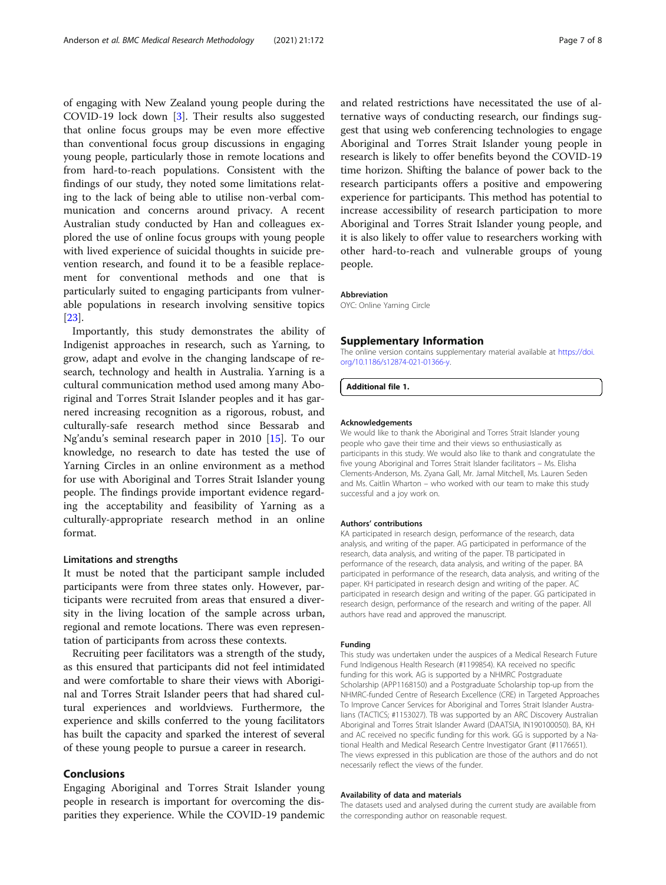<span id="page-7-0"></span>of engaging with New Zealand young people during the COVID-19 lock down [[3\]](#page-8-0). Their results also suggested that online focus groups may be even more effective than conventional focus group discussions in engaging young people, particularly those in remote locations and from hard-to-reach populations. Consistent with the findings of our study, they noted some limitations relating to the lack of being able to utilise non-verbal communication and concerns around privacy. A recent Australian study conducted by Han and colleagues explored the use of online focus groups with young people with lived experience of suicidal thoughts in suicide prevention research, and found it to be a feasible replacement for conventional methods and one that is particularly suited to engaging participants from vulnerable populations in research involving sensitive topics [[23\]](#page-8-0).

Importantly, this study demonstrates the ability of Indigenist approaches in research, such as Yarning, to grow, adapt and evolve in the changing landscape of research, technology and health in Australia. Yarning is a cultural communication method used among many Aboriginal and Torres Strait Islander peoples and it has garnered increasing recognition as a rigorous, robust, and culturally-safe research method since Bessarab and Ng'andu's seminal research paper in 2010 [\[15](#page-8-0)]. To our knowledge, no research to date has tested the use of Yarning Circles in an online environment as a method for use with Aboriginal and Torres Strait Islander young people. The findings provide important evidence regarding the acceptability and feasibility of Yarning as a culturally-appropriate research method in an online format.

# Limitations and strengths

It must be noted that the participant sample included participants were from three states only. However, participants were recruited from areas that ensured a diversity in the living location of the sample across urban, regional and remote locations. There was even representation of participants from across these contexts.

Recruiting peer facilitators was a strength of the study, as this ensured that participants did not feel intimidated and were comfortable to share their views with Aboriginal and Torres Strait Islander peers that had shared cultural experiences and worldviews. Furthermore, the experience and skills conferred to the young facilitators has built the capacity and sparked the interest of several of these young people to pursue a career in research.

# Conclusions

Engaging Aboriginal and Torres Strait Islander young people in research is important for overcoming the disparities they experience. While the COVID-19 pandemic and related restrictions have necessitated the use of alternative ways of conducting research, our findings suggest that using web conferencing technologies to engage Aboriginal and Torres Strait Islander young people in research is likely to offer benefits beyond the COVID-19 time horizon. Shifting the balance of power back to the research participants offers a positive and empowering experience for participants. This method has potential to increase accessibility of research participation to more Aboriginal and Torres Strait Islander young people, and it is also likely to offer value to researchers working with other hard-to-reach and vulnerable groups of young people.

#### Abbreviation

OYC: Online Yarning Circle

#### Supplementary Information

The online version contains supplementary material available at [https://doi.](https://doi.org/10.1186/s12874-021-01366-y) [org/10.1186/s12874-021-01366-y](https://doi.org/10.1186/s12874-021-01366-y).

Additional file 1.

#### Acknowledgements

We would like to thank the Aboriginal and Torres Strait Islander young people who gave their time and their views so enthusiastically as participants in this study. We would also like to thank and congratulate the five young Aboriginal and Torres Strait Islander facilitators – Ms. Elisha Clements-Anderson, Ms. Zyana Gall, Mr. Jamal Mitchell, Ms. Lauren Seden and Ms. Caitlin Wharton – who worked with our team to make this study successful and a joy work on.

#### Authors' contributions

KA participated in research design, performance of the research, data analysis, and writing of the paper. AG participated in performance of the research, data analysis, and writing of the paper. TB participated in performance of the research, data analysis, and writing of the paper. BA participated in performance of the research, data analysis, and writing of the paper. KH participated in research design and writing of the paper. AC participated in research design and writing of the paper. GG participated in research design, performance of the research and writing of the paper. All authors have read and approved the manuscript.

#### Funding

This study was undertaken under the auspices of a Medical Research Future Fund Indigenous Health Research (#1199854). KA received no specific funding for this work. AG is supported by a NHMRC Postgraduate Scholarship (APP1168150) and a Postgraduate Scholarship top-up from the NHMRC-funded Centre of Research Excellence (CRE) in Targeted Approaches To Improve Cancer Services for Aboriginal and Torres Strait Islander Australians (TACTICS; #1153027). TB was supported by an ARC Discovery Australian Aboriginal and Torres Strait Islander Award (DAATSIA, IN190100050). BA, KH and AC received no specific funding for this work. GG is supported by a National Health and Medical Research Centre Investigator Grant (#1176651). The views expressed in this publication are those of the authors and do not necessarily reflect the views of the funder.

#### Availability of data and materials

The datasets used and analysed during the current study are available from the corresponding author on reasonable request.